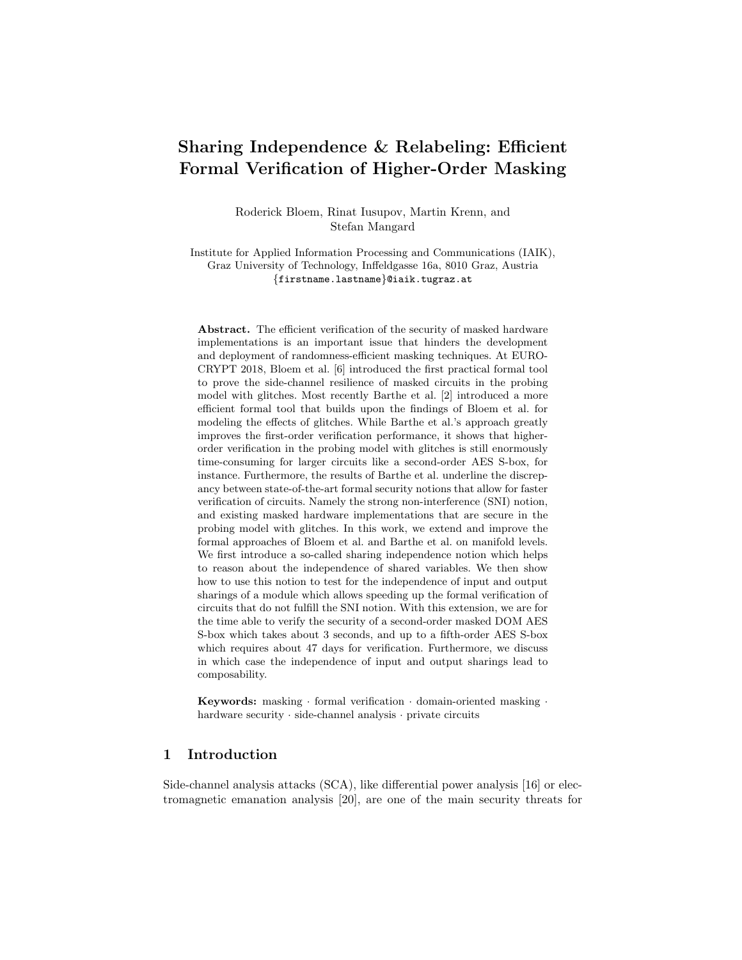# Sharing Independence & Relabeling: Efficient Formal Verification of Higher-Order Masking

Roderick Bloem, Rinat Iusupov, Martin Krenn, and Stefan Mangard

Institute for Applied Information Processing and Communications (IAIK), Graz University of Technology, Inffeldgasse 16a, 8010 Graz, Austria {firstname.lastname}@iaik.tugraz.at

Abstract. The efficient verification of the security of masked hardware implementations is an important issue that hinders the development and deployment of randomness-efficient masking techniques. At EURO-CRYPT 2018, Bloem et al. [6] introduced the first practical formal tool to prove the side-channel resilience of masked circuits in the probing model with glitches. Most recently Barthe et al. [2] introduced a more efficient formal tool that builds upon the findings of Bloem et al. for modeling the effects of glitches. While Barthe et al.'s approach greatly improves the first-order verification performance, it shows that higherorder verification in the probing model with glitches is still enormously time-consuming for larger circuits like a second-order AES S-box, for instance. Furthermore, the results of Barthe et al. underline the discrepancy between state-of-the-art formal security notions that allow for faster verification of circuits. Namely the strong non-interference (SNI) notion, and existing masked hardware implementations that are secure in the probing model with glitches. In this work, we extend and improve the formal approaches of Bloem et al. and Barthe et al. on manifold levels. We first introduce a so-called sharing independence notion which helps to reason about the independence of shared variables. We then show how to use this notion to test for the independence of input and output sharings of a module which allows speeding up the formal verification of circuits that do not fulfill the SNI notion. With this extension, we are for the time able to verify the security of a second-order masked DOM AES S-box which takes about 3 seconds, and up to a fifth-order AES S-box which requires about 47 days for verification. Furthermore, we discuss in which case the independence of input and output sharings lead to composability.

**Keywords:** masking  $\cdot$  formal verification  $\cdot$  domain-oriented masking  $\cdot$ hardware security · side-channel analysis · private circuits

# 1 Introduction

Side-channel analysis attacks (SCA), like differential power analysis [16] or electromagnetic emanation analysis [20], are one of the main security threats for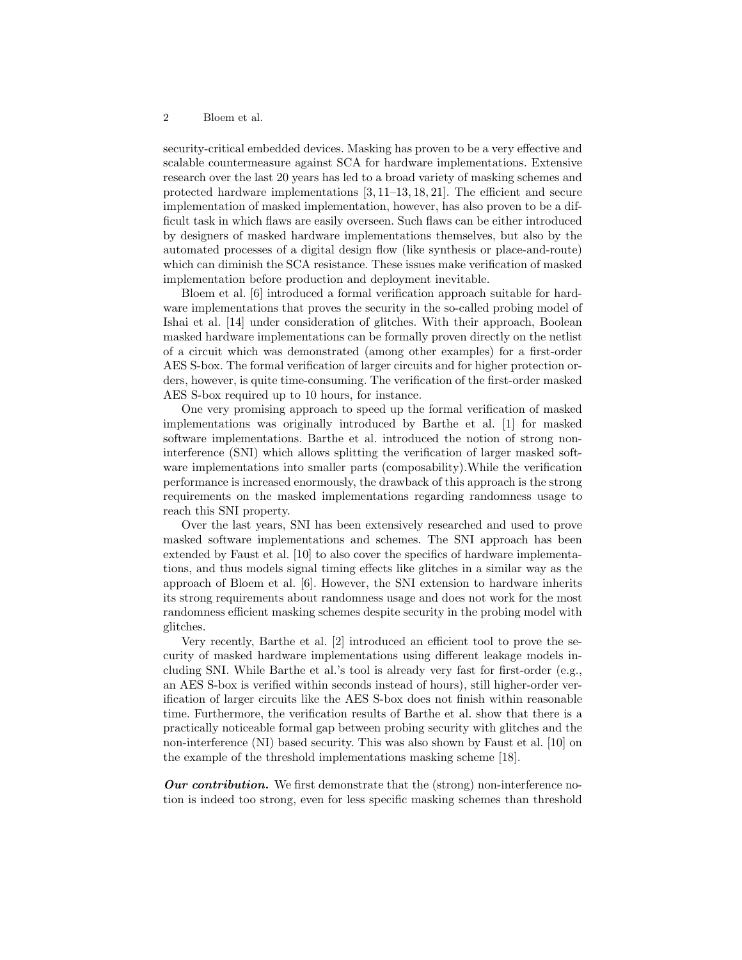security-critical embedded devices. Masking has proven to be a very effective and scalable countermeasure against SCA for hardware implementations. Extensive research over the last 20 years has led to a broad variety of masking schemes and protected hardware implementations [3, 11–13, 18, 21]. The efficient and secure implementation of masked implementation, however, has also proven to be a difficult task in which flaws are easily overseen. Such flaws can be either introduced by designers of masked hardware implementations themselves, but also by the automated processes of a digital design flow (like synthesis or place-and-route) which can diminish the SCA resistance. These issues make verification of masked implementation before production and deployment inevitable.

Bloem et al. [6] introduced a formal verification approach suitable for hardware implementations that proves the security in the so-called probing model of Ishai et al. [14] under consideration of glitches. With their approach, Boolean masked hardware implementations can be formally proven directly on the netlist of a circuit which was demonstrated (among other examples) for a first-order AES S-box. The formal verification of larger circuits and for higher protection orders, however, is quite time-consuming. The verification of the first-order masked AES S-box required up to 10 hours, for instance.

One very promising approach to speed up the formal verification of masked implementations was originally introduced by Barthe et al. [1] for masked software implementations. Barthe et al. introduced the notion of strong noninterference (SNI) which allows splitting the verification of larger masked software implementations into smaller parts (composability).While the verification performance is increased enormously, the drawback of this approach is the strong requirements on the masked implementations regarding randomness usage to reach this SNI property.

Over the last years, SNI has been extensively researched and used to prove masked software implementations and schemes. The SNI approach has been extended by Faust et al. [10] to also cover the specifics of hardware implementations, and thus models signal timing effects like glitches in a similar way as the approach of Bloem et al. [6]. However, the SNI extension to hardware inherits its strong requirements about randomness usage and does not work for the most randomness efficient masking schemes despite security in the probing model with glitches.

Very recently, Barthe et al. [2] introduced an efficient tool to prove the security of masked hardware implementations using different leakage models including SNI. While Barthe et al.'s tool is already very fast for first-order (e.g., an AES S-box is verified within seconds instead of hours), still higher-order verification of larger circuits like the AES S-box does not finish within reasonable time. Furthermore, the verification results of Barthe et al. show that there is a practically noticeable formal gap between probing security with glitches and the non-interference (NI) based security. This was also shown by Faust et al. [10] on the example of the threshold implementations masking scheme [18].

**Our contribution.** We first demonstrate that the (strong) non-interference notion is indeed too strong, even for less specific masking schemes than threshold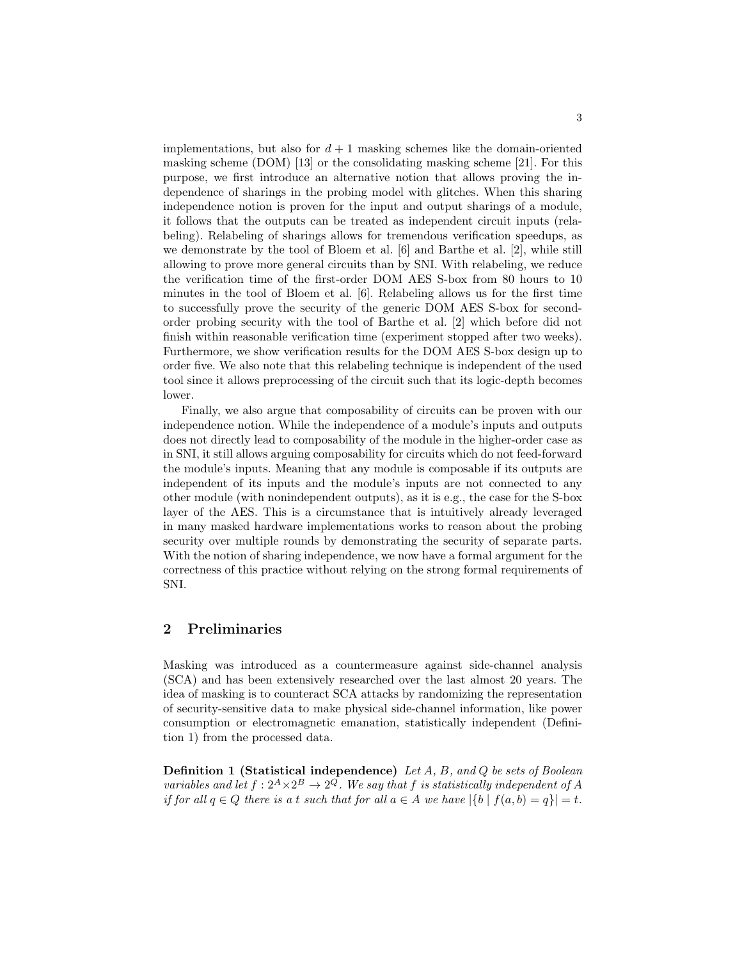implementations, but also for  $d+1$  masking schemes like the domain-oriented masking scheme (DOM) [13] or the consolidating masking scheme [21]. For this purpose, we first introduce an alternative notion that allows proving the independence of sharings in the probing model with glitches. When this sharing independence notion is proven for the input and output sharings of a module, it follows that the outputs can be treated as independent circuit inputs (relabeling). Relabeling of sharings allows for tremendous verification speedups, as we demonstrate by the tool of Bloem et al. [6] and Barthe et al. [2], while still allowing to prove more general circuits than by SNI. With relabeling, we reduce the verification time of the first-order DOM AES S-box from 80 hours to 10 minutes in the tool of Bloem et al. [6]. Relabeling allows us for the first time to successfully prove the security of the generic DOM AES S-box for secondorder probing security with the tool of Barthe et al. [2] which before did not finish within reasonable verification time (experiment stopped after two weeks). Furthermore, we show verification results for the DOM AES S-box design up to order five. We also note that this relabeling technique is independent of the used tool since it allows preprocessing of the circuit such that its logic-depth becomes lower.

Finally, we also argue that composability of circuits can be proven with our independence notion. While the independence of a module's inputs and outputs does not directly lead to composability of the module in the higher-order case as in SNI, it still allows arguing composability for circuits which do not feed-forward the module's inputs. Meaning that any module is composable if its outputs are independent of its inputs and the module's inputs are not connected to any other module (with nonindependent outputs), as it is e.g., the case for the S-box layer of the AES. This is a circumstance that is intuitively already leveraged in many masked hardware implementations works to reason about the probing security over multiple rounds by demonstrating the security of separate parts. With the notion of sharing independence, we now have a formal argument for the correctness of this practice without relying on the strong formal requirements of SNI.

# 2 Preliminaries

Masking was introduced as a countermeasure against side-channel analysis (SCA) and has been extensively researched over the last almost 20 years. The idea of masking is to counteract SCA attacks by randomizing the representation of security-sensitive data to make physical side-channel information, like power consumption or electromagnetic emanation, statistically independent (Definition 1) from the processed data.

Definition 1 (Statistical independence) Let A, B, and Q be sets of Boolean variables and let  $f: 2^A \times 2^B \to 2^Q$ . We say that f is statistically independent of A if for all  $q \in Q$  there is a t such that for all  $a \in A$  we have  $|\{b \mid f(a, b) = q\}| = t$ .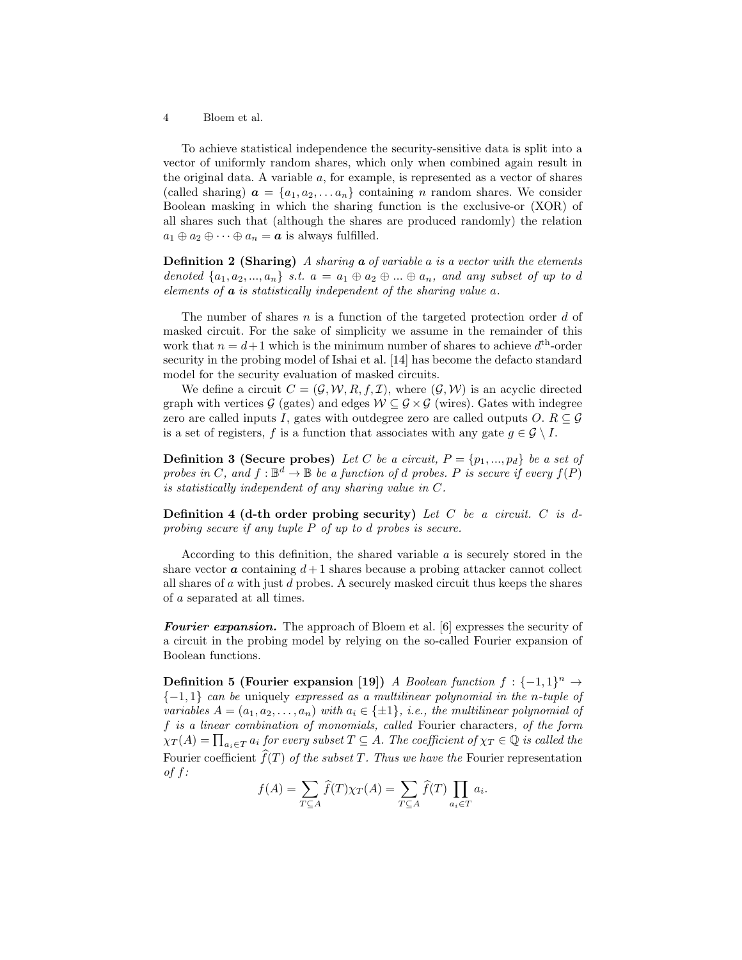To achieve statistical independence the security-sensitive data is split into a vector of uniformly random shares, which only when combined again result in the original data. A variable  $a$ , for example, is represented as a vector of shares (called sharing)  $\mathbf{a} = \{a_1, a_2, \ldots a_n\}$  containing n random shares. We consider Boolean masking in which the sharing function is the exclusive-or (XOR) of all shares such that (although the shares are produced randomly) the relation  $a_1 \oplus a_2 \oplus \cdots \oplus a_n = a$  is always fulfilled.

**Definition 2 (Sharing)** A sharing **a** of variable a is a vector with the elements denoted  $\{a_1, a_2, ..., a_n\}$  s.t.  $a = a_1 \oplus a_2 \oplus ... \oplus a_n$ , and any subset of up to d elements of  $\boldsymbol{a}$  is statistically independent of the sharing value  $\boldsymbol{a}$ .

The number of shares  $n$  is a function of the targeted protection order  $d$  of masked circuit. For the sake of simplicity we assume in the remainder of this work that  $n = d+1$  which is the minimum number of shares to achieve  $d<sup>th</sup>$ -order security in the probing model of Ishai et al. [14] has become the defacto standard model for the security evaluation of masked circuits.

We define a circuit  $C = (\mathcal{G}, \mathcal{W}, R, f, \mathcal{I})$ , where  $(\mathcal{G}, \mathcal{W})$  is an acyclic directed graph with vertices  $\mathcal{G}$  (gates) and edges  $\mathcal{W} \subseteq \mathcal{G} \times \mathcal{G}$  (wires). Gates with indegree zero are called inputs I, gates with outdegree zero are called outputs  $O. R \subseteq \mathcal{G}$ is a set of registers, f is a function that associates with any gate  $g \in \mathcal{G} \setminus I$ .

**Definition 3 (Secure probes)** Let C be a circuit,  $P = \{p_1, ..., p_d\}$  be a set of probes in C, and  $f : \mathbb{B}^d \to \mathbb{B}$  be a function of d probes. P is secure if every  $f(P)$ is statistically independent of any sharing value in C.

Definition 4 (d-th order probing security) Let  $C$  be a circuit.  $C$  is dprobing secure if any tuple P of up to d probes is secure.

According to this definition, the shared variable  $a$  is securely stored in the share vector **a** containing  $d+1$  shares because a probing attacker cannot collect all shares of  $\alpha$  with just  $\alpha$  probes. A securely masked circuit thus keeps the shares of a separated at all times.

Fourier expansion. The approach of Bloem et al. [6] expresses the security of a circuit in the probing model by relying on the so-called Fourier expansion of Boolean functions.

Definition 5 (Fourier expansion [19]) A Boolean function  $f: \{-1,1\}^n \to$  ${-1,1}$  can be uniquely expressed as a multilinear polynomial in the n-tuple of variables  $A = (a_1, a_2, \ldots, a_n)$  with  $a_i \in \{\pm 1\}$ , i.e., the multilinear polynomial of f is a linear combination of monomials, called Fourier characters, of the form  $\chi_T(A) = \prod_{a_i \in T} a_i$  for every subset  $T \subseteq A$ . The coefficient of  $\chi_T \in \mathbb{Q}$  is called the Fourier coefficient  $\widehat{f}(T)$  of the subset T. Thus we have the Fourier representation of  $f$ :

$$
f(A) = \sum_{T \subseteq A} \hat{f}(T) \chi_T(A) = \sum_{T \subseteq A} \hat{f}(T) \prod_{a_i \in T} a_i.
$$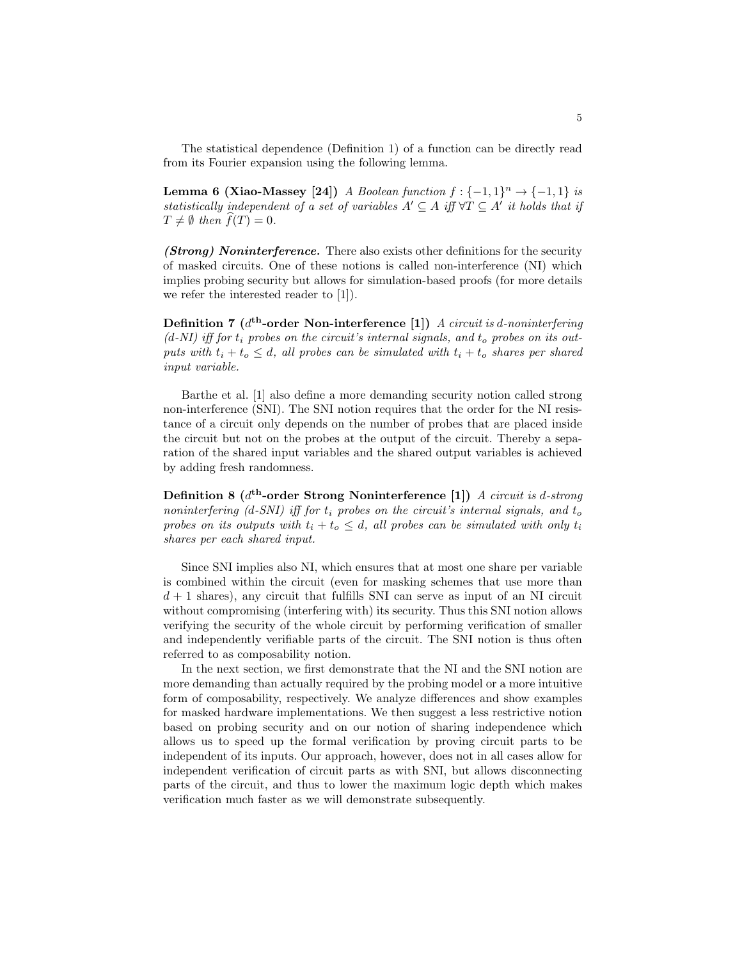The statistical dependence (Definition 1) of a function can be directly read from its Fourier expansion using the following lemma.

Lemma 6 (Xiao-Massey [24]) A Boolean function  $f: \{-1,1\}^n \to \{-1,1\}$  is statistically independent of a set of variables  $A' \subseteq A$  iff  $\forall T \subseteq A'$  it holds that if  $T \neq \emptyset$  then  $f(T) = 0$ .

(Strong) Noninterference. There also exists other definitions for the security of masked circuits. One of these notions is called non-interference (NI) which implies probing security but allows for simulation-based proofs (for more details we refer the interested reader to [1]).

Definition 7 ( $d^{\text{th}}$ -order Non-interference [1]) A circuit is d-noninterfering  $(d-NI)$  iff for  $t_i$  probes on the circuit's internal signals, and  $t_o$  probes on its outputs with  $t_i + t_o \leq d$ , all probes can be simulated with  $t_i + t_o$  shares per shared input variable.

Barthe et al. [1] also define a more demanding security notion called strong non-interference (SNI). The SNI notion requires that the order for the NI resistance of a circuit only depends on the number of probes that are placed inside the circuit but not on the probes at the output of the circuit. Thereby a separation of the shared input variables and the shared output variables is achieved by adding fresh randomness.

Definition 8 ( $d^{\text{th}}$ -order Strong Noninterference [1]) A circuit is d-strong noninterfering (d-SNI) iff for  $t_i$  probes on the circuit's internal signals, and  $t_o$ probes on its outputs with  $t_i + t_o \leq d$ , all probes can be simulated with only  $t_i$ shares per each shared input.

Since SNI implies also NI, which ensures that at most one share per variable is combined within the circuit (even for masking schemes that use more than  $d + 1$  shares), any circuit that fulfills SNI can serve as input of an NI circuit without compromising (interfering with) its security. Thus this SNI notion allows verifying the security of the whole circuit by performing verification of smaller and independently verifiable parts of the circuit. The SNI notion is thus often referred to as composability notion.

In the next section, we first demonstrate that the NI and the SNI notion are more demanding than actually required by the probing model or a more intuitive form of composability, respectively. We analyze differences and show examples for masked hardware implementations. We then suggest a less restrictive notion based on probing security and on our notion of sharing independence which allows us to speed up the formal verification by proving circuit parts to be independent of its inputs. Our approach, however, does not in all cases allow for independent verification of circuit parts as with SNI, but allows disconnecting parts of the circuit, and thus to lower the maximum logic depth which makes verification much faster as we will demonstrate subsequently.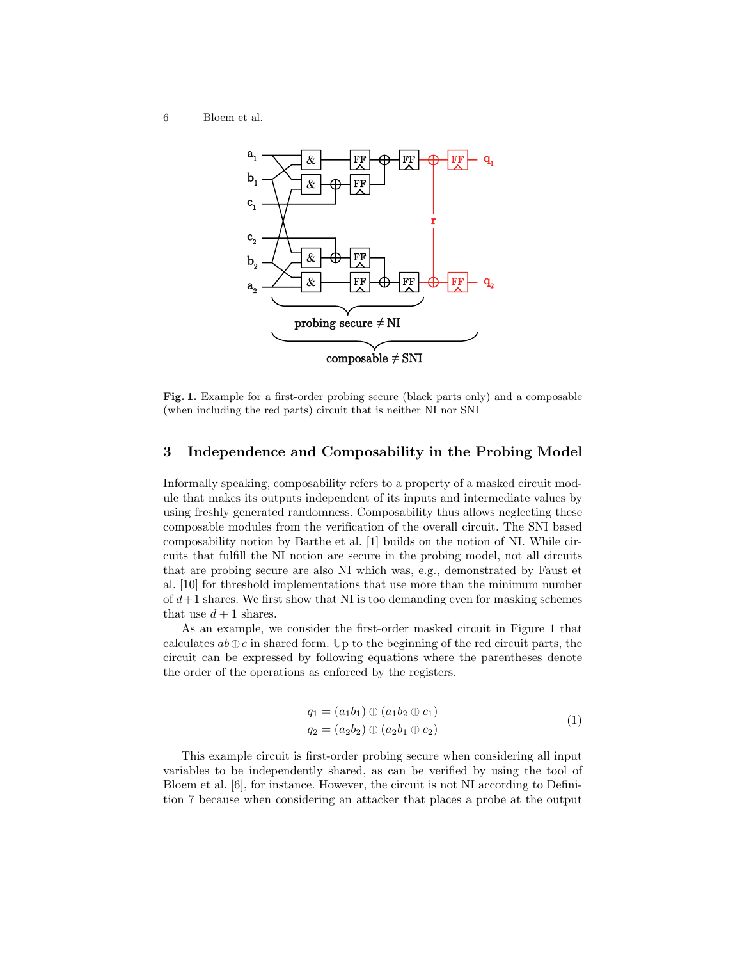

Fig. 1. Example for a first-order probing secure (black parts only) and a composable (when including the red parts) circuit that is neither NI nor SNI

### 3 Independence and Composability in the Probing Model

Informally speaking, composability refers to a property of a masked circuit module that makes its outputs independent of its inputs and intermediate values by using freshly generated randomness. Composability thus allows neglecting these composable modules from the verification of the overall circuit. The SNI based composability notion by Barthe et al. [1] builds on the notion of NI. While circuits that fulfill the NI notion are secure in the probing model, not all circuits that are probing secure are also NI which was, e.g., demonstrated by Faust et al. [10] for threshold implementations that use more than the minimum number of  $d+1$  shares. We first show that NI is too demanding even for masking schemes that use  $d+1$  shares.

As an example, we consider the first-order masked circuit in Figure 1 that calculates  $ab \oplus c$  in shared form. Up to the beginning of the red circuit parts, the circuit can be expressed by following equations where the parentheses denote the order of the operations as enforced by the registers.

$$
q_1 = (a_1b_1) \oplus (a_1b_2 \oplus c_1)
$$
  
\n
$$
q_2 = (a_2b_2) \oplus (a_2b_1 \oplus c_2)
$$
\n(1)

This example circuit is first-order probing secure when considering all input variables to be independently shared, as can be verified by using the tool of Bloem et al. [6], for instance. However, the circuit is not NI according to Definition 7 because when considering an attacker that places a probe at the output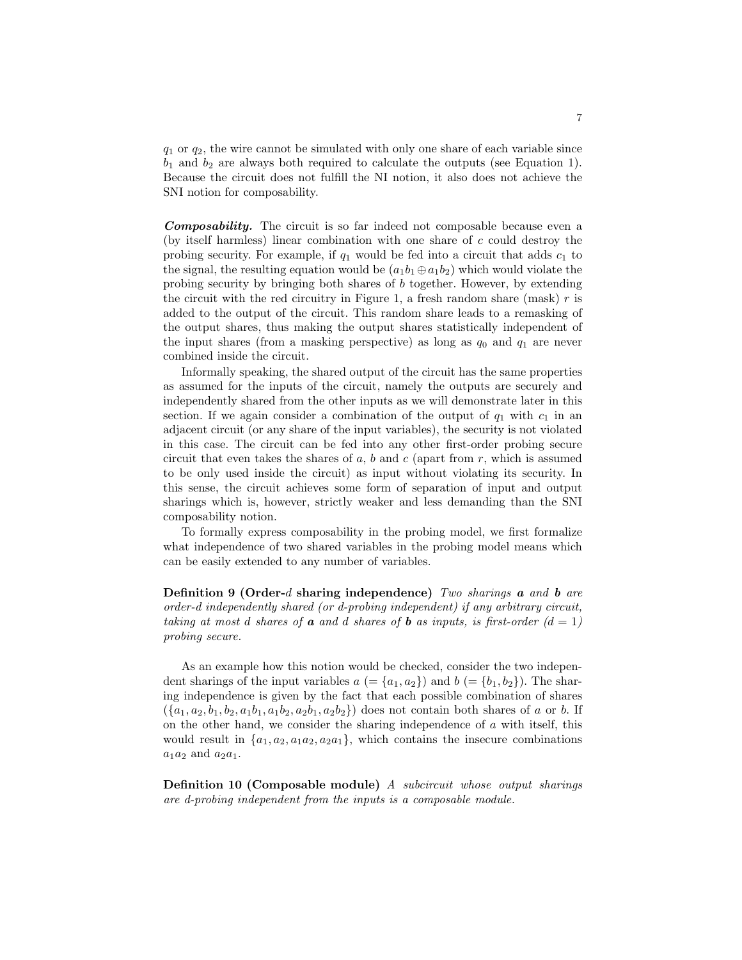$q_1$  or  $q_2$ , the wire cannot be simulated with only one share of each variable since  $b_1$  and  $b_2$  are always both required to calculate the outputs (see Equation 1). Because the circuit does not fulfill the NI notion, it also does not achieve the SNI notion for composability.

Composability. The circuit is so far indeed not composable because even a (by itself harmless) linear combination with one share of  $c$  could destroy the probing security. For example, if  $q_1$  would be fed into a circuit that adds  $c_1$  to the signal, the resulting equation would be  $(a_1b_1 \oplus a_1b_2)$  which would violate the probing security by bringing both shares of b together. However, by extending the circuit with the red circuitry in Figure 1, a fresh random share (mask)  $r$  is added to the output of the circuit. This random share leads to a remasking of the output shares, thus making the output shares statistically independent of the input shares (from a masking perspective) as long as  $q_0$  and  $q_1$  are never combined inside the circuit.

Informally speaking, the shared output of the circuit has the same properties as assumed for the inputs of the circuit, namely the outputs are securely and independently shared from the other inputs as we will demonstrate later in this section. If we again consider a combination of the output of  $q_1$  with  $c_1$  in an adjacent circuit (or any share of the input variables), the security is not violated in this case. The circuit can be fed into any other first-order probing secure circuit that even takes the shares of  $a, b$  and  $c$  (apart from  $r$ , which is assumed to be only used inside the circuit) as input without violating its security. In this sense, the circuit achieves some form of separation of input and output sharings which is, however, strictly weaker and less demanding than the SNI composability notion.

To formally express composability in the probing model, we first formalize what independence of two shared variables in the probing model means which can be easily extended to any number of variables.

Definition 9 (Order-d sharing independence) Two sharings **a** and **b** are order-d independently shared (or d-probing independent) if any arbitrary circuit, taking at most d shares of **a** and d shares of **b** as inputs, is first-order  $(d = 1)$ probing secure.

As an example how this notion would be checked, consider the two independent sharings of the input variables  $a = \{a_1, a_2\}$  and  $b = \{b_1, b_2\}$ . The sharing independence is given by the fact that each possible combination of shares  $(\{a_1, a_2, b_1, b_2, a_1b_1, a_1b_2, a_2b_1, a_2b_2\})$  does not contain both shares of a or b. If on the other hand, we consider the sharing independence of  $a$  with itself, this would result in  $\{a_1, a_2, a_1 a_2, a_2 a_1\}$ , which contains the insecure combinations  $a_1a_2$  and  $a_2a_1$ .

Definition 10 (Composable module) A subcircuit whose output sharings are d-probing independent from the inputs is a composable module.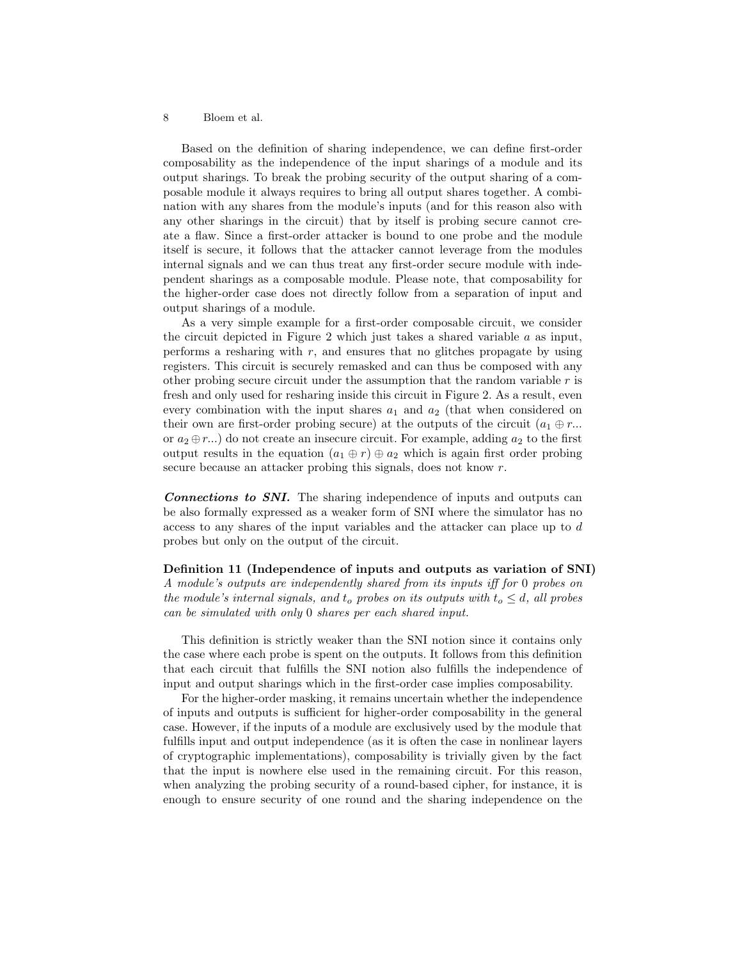Based on the definition of sharing independence, we can define first-order composability as the independence of the input sharings of a module and its output sharings. To break the probing security of the output sharing of a composable module it always requires to bring all output shares together. A combination with any shares from the module's inputs (and for this reason also with any other sharings in the circuit) that by itself is probing secure cannot create a flaw. Since a first-order attacker is bound to one probe and the module itself is secure, it follows that the attacker cannot leverage from the modules internal signals and we can thus treat any first-order secure module with independent sharings as a composable module. Please note, that composability for the higher-order case does not directly follow from a separation of input and output sharings of a module.

As a very simple example for a first-order composable circuit, we consider the circuit depicted in Figure 2 which just takes a shared variable  $a$  as input, performs a resharing with  $r$ , and ensures that no glitches propagate by using registers. This circuit is securely remasked and can thus be composed with any other probing secure circuit under the assumption that the random variable  $r$  is fresh and only used for resharing inside this circuit in Figure 2. As a result, even every combination with the input shares  $a_1$  and  $a_2$  (that when considered on their own are first-order probing secure) at the outputs of the circuit  $(a_1 \oplus r...$ or  $a_2 \oplus r...$ ) do not create an insecure circuit. For example, adding  $a_2$  to the first output results in the equation  $(a_1 \oplus r) \oplus a_2$  which is again first order probing secure because an attacker probing this signals, does not know r.

Connections to SNI. The sharing independence of inputs and outputs can be also formally expressed as a weaker form of SNI where the simulator has no access to any shares of the input variables and the attacker can place up to d probes but only on the output of the circuit.

Definition 11 (Independence of inputs and outputs as variation of SNI) A module's outputs are independently shared from its inputs iff for 0 probes on the module's internal signals, and  $t_o$  probes on its outputs with  $t_o \leq d$ , all probes can be simulated with only 0 shares per each shared input.

This definition is strictly weaker than the SNI notion since it contains only the case where each probe is spent on the outputs. It follows from this definition that each circuit that fulfills the SNI notion also fulfills the independence of input and output sharings which in the first-order case implies composability.

For the higher-order masking, it remains uncertain whether the independence of inputs and outputs is sufficient for higher-order composability in the general case. However, if the inputs of a module are exclusively used by the module that fulfills input and output independence (as it is often the case in nonlinear layers of cryptographic implementations), composability is trivially given by the fact that the input is nowhere else used in the remaining circuit. For this reason, when analyzing the probing security of a round-based cipher, for instance, it is enough to ensure security of one round and the sharing independence on the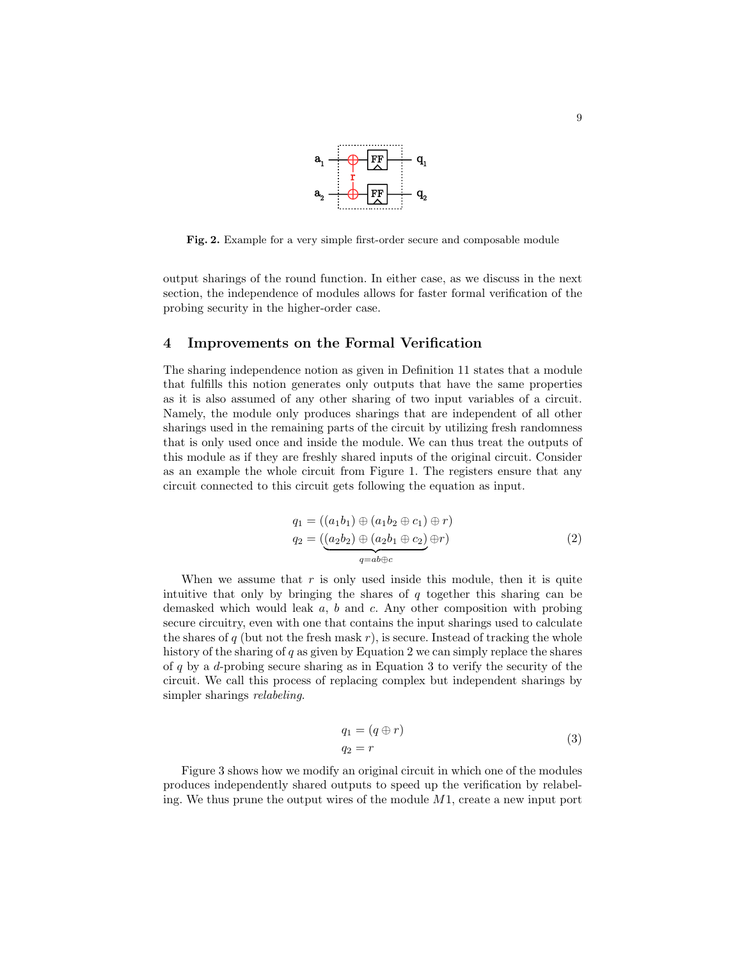

Fig. 2. Example for a very simple first-order secure and composable module

output sharings of the round function. In either case, as we discuss in the next section, the independence of modules allows for faster formal verification of the probing security in the higher-order case.

# 4 Improvements on the Formal Verification

The sharing independence notion as given in Definition 11 states that a module that fulfills this notion generates only outputs that have the same properties as it is also assumed of any other sharing of two input variables of a circuit. Namely, the module only produces sharings that are independent of all other sharings used in the remaining parts of the circuit by utilizing fresh randomness that is only used once and inside the module. We can thus treat the outputs of this module as if they are freshly shared inputs of the original circuit. Consider as an example the whole circuit from Figure 1. The registers ensure that any circuit connected to this circuit gets following the equation as input.

$$
q_1 = ((a_1b_1) \oplus (a_1b_2 \oplus c_1) \oplus r)
$$
  
\n
$$
q_2 = (\underbrace{(a_2b_2) \oplus (a_2b_1 \oplus c_2)}_{q=ab \oplus c} \oplus r)
$$
\n(2)

When we assume that  $r$  is only used inside this module, then it is quite intuitive that only by bringing the shares of  $q$  together this sharing can be demasked which would leak a, b and c. Any other composition with probing secure circuitry, even with one that contains the input sharings used to calculate the shares of  $q$  (but not the fresh mask  $r$ ), is secure. Instead of tracking the whole history of the sharing of  $q$  as given by Equation 2 we can simply replace the shares of q by a d-probing secure sharing as in Equation 3 to verify the security of the circuit. We call this process of replacing complex but independent sharings by simpler sharings *relabeling*.

$$
q_1 = (q \oplus r)
$$
  
\n
$$
q_2 = r
$$
\n(3)

Figure 3 shows how we modify an original circuit in which one of the modules produces independently shared outputs to speed up the verification by relabeling. We thus prune the output wires of the module  $M_1$ , create a new input port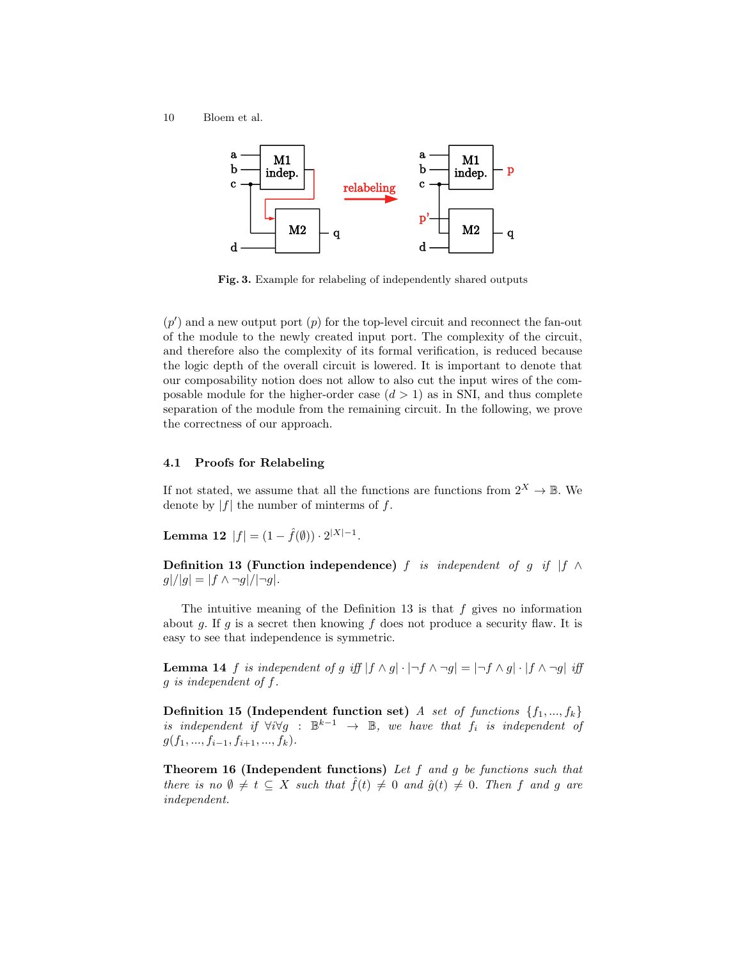10 Bloem et al.



Fig. 3. Example for relabeling of independently shared outputs

 $(p')$  and a new output port  $(p)$  for the top-level circuit and reconnect the fan-out of the module to the newly created input port. The complexity of the circuit, and therefore also the complexity of its formal verification, is reduced because the logic depth of the overall circuit is lowered. It is important to denote that our composability notion does not allow to also cut the input wires of the composable module for the higher-order case  $(d > 1)$  as in SNI, and thus complete separation of the module from the remaining circuit. In the following, we prove the correctness of our approach.

#### 4.1 Proofs for Relabeling

If not stated, we assume that all the functions are functions from  $2^X \to \mathbb{B}$ . We denote by  $|f|$  the number of minterms of f.

Lemma 12  $|f| = (1 - \hat{f}(\emptyset)) \cdot 2^{|X|-1}$ .

Definition 13 (Function independence) f is independent of g if  $|f \wedge f|$  $g|/|g| = |f \wedge \neg g|/|\neg g|$ .

The intuitive meaning of the Definition 13 is that  $f$  gives no information about q. If q is a secret then knowing f does not produce a security flaw. It is easy to see that independence is symmetric.

**Lemma 14** f is independent of g iff  $|f \wedge g| \cdot |\neg f \wedge \neg g| = |\neg f \wedge g| \cdot |f \wedge \neg g|$  iff g is independent of f.

Definition 15 (Independent function set) A set of functions  $\{f_1, ..., f_k\}$ is independent if  $\forall i \forall g : \mathbb{B}^{k-1} \rightarrow \mathbb{B}$ , we have that  $f_i$  is independent of  $g(f_1, ..., f_{i-1}, f_{i+1}, ..., f_k).$ 

**Theorem 16 (Independent functions)** Let  $f$  and  $g$  be functions such that there is no  $\emptyset \neq t \subseteq X$  such that  $\tilde{f}(t) \neq 0$  and  $\hat{g}(t) \neq 0$ . Then f and g are independent.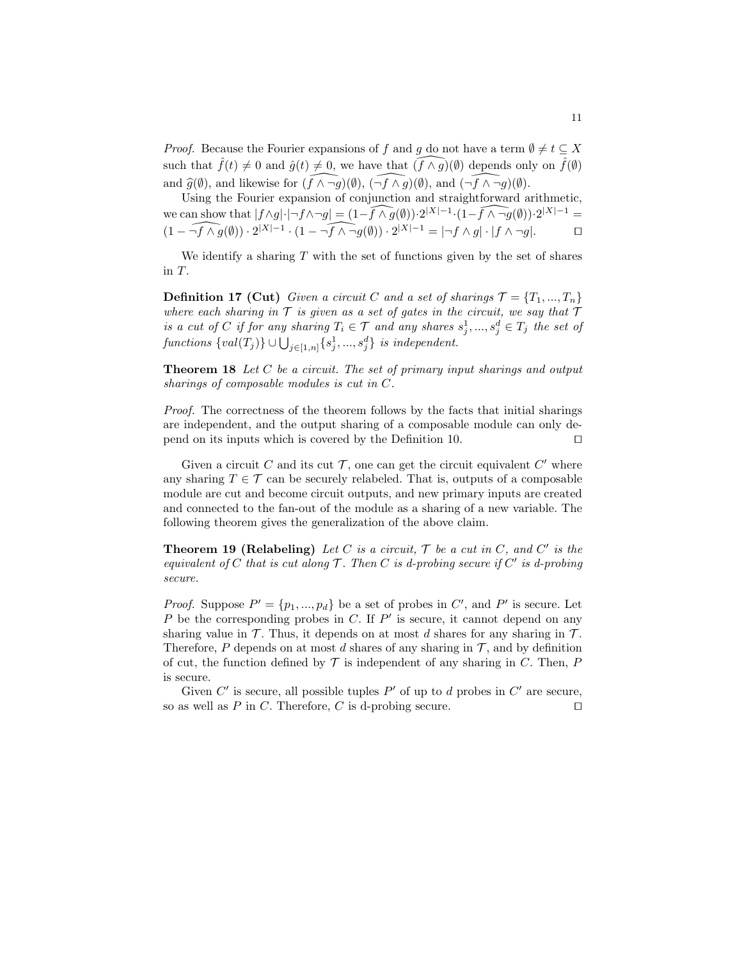*Proof.* Because the Fourier expansions of f and g do not have a term  $\emptyset \neq t \subseteq X$ such that  $\hat{f}(t) \neq 0$  and  $\hat{g}(t) \neq 0$ , we have that  $(\widehat{f} \wedge \widehat{g})(\emptyset)$  depends only on  $\hat{f}(\emptyset)$ and  $\widehat{g}(\emptyset)$ , and likewise for  $(\widehat{f}\wedge \neg g)(\emptyset)$ ,  $(\neg f \wedge \neg g)(\emptyset)$ , and  $(\neg \widehat{f} \wedge \neg g)(\emptyset)$ .

Using the Fourier expansion of conjunction and straightforward arithmetic, we can show that  $|f \wedge g| \cdot |\neg f \wedge \neg g| = (1 - \widehat{f \wedge g(\emptyset)}) \cdot 2^{|X| - 1} \cdot (1 - \widehat{f \wedge \neg g(\emptyset)}) \cdot 2^{|X| - 1} =$  $(1 - \widehat{\neg f \wedge g(\emptyset)}) \cdot 2^{|X|-1} \cdot (1 - \widehat{\neg f \wedge \neg g(\emptyset)}) \cdot 2^{|X|-1} = |\neg f \wedge g| \cdot |f \wedge \neg g|$ .

We identify a sharing  $T$  with the set of functions given by the set of shares in T.

**Definition 17 (Cut)** Given a circuit C and a set of sharings  $\mathcal{T} = \{T_1, ..., T_n\}$ where each sharing in  $\mathcal T$  is given as a set of gates in the circuit, we say that  $\mathcal T$ is a cut of C if for any sharing  $T_i \in \mathcal{T}$  and any shares  $s_j^1, ..., s_j^d \in T_j$  the set of functions  $\{val(T_j)\} \cup \bigcup_{j \in [1,n]} \{s_j^1, ..., s_j^d\}$  is independent.

Theorem 18 Let C be a circuit. The set of primary input sharings and output sharings of composable modules is cut in C.

Proof. The correctness of the theorem follows by the facts that initial sharings are independent, and the output sharing of a composable module can only depend on its inputs which is covered by the Definition 10.  $\Box$ 

Given a circuit C and its cut  $\mathcal{T}$ , one can get the circuit equivalent C' where any sharing  $T \in \mathcal{T}$  can be securely relabeled. That is, outputs of a composable module are cut and become circuit outputs, and new primary inputs are created and connected to the fan-out of the module as a sharing of a new variable. The following theorem gives the generalization of the above claim.

**Theorem 19 (Relabeling)** Let C is a circuit,  $\mathcal{T}$  be a cut in C, and C' is the equivalent of C that is cut along  $\mathcal T$ . Then C is d-probing secure if C' is d-probing secure.

*Proof.* Suppose  $P' = \{p_1, ..., p_d\}$  be a set of probes in C', and P' is secure. Let  $P$  be the corresponding probes in  $C$ . If  $P'$  is secure, it cannot depend on any sharing value in  $\mathcal T$ . Thus, it depends on at most d shares for any sharing in  $\mathcal T$ . Therefore, P depends on at most d shares of any sharing in  $\mathcal T$ , and by definition of cut, the function defined by  $\mathcal T$  is independent of any sharing in C. Then, P is secure.

Given  $C'$  is secure, all possible tuples  $P'$  of up to d probes in  $C'$  are secure, so as well as P in C. Therefore, C is d-probing secure.  $\square$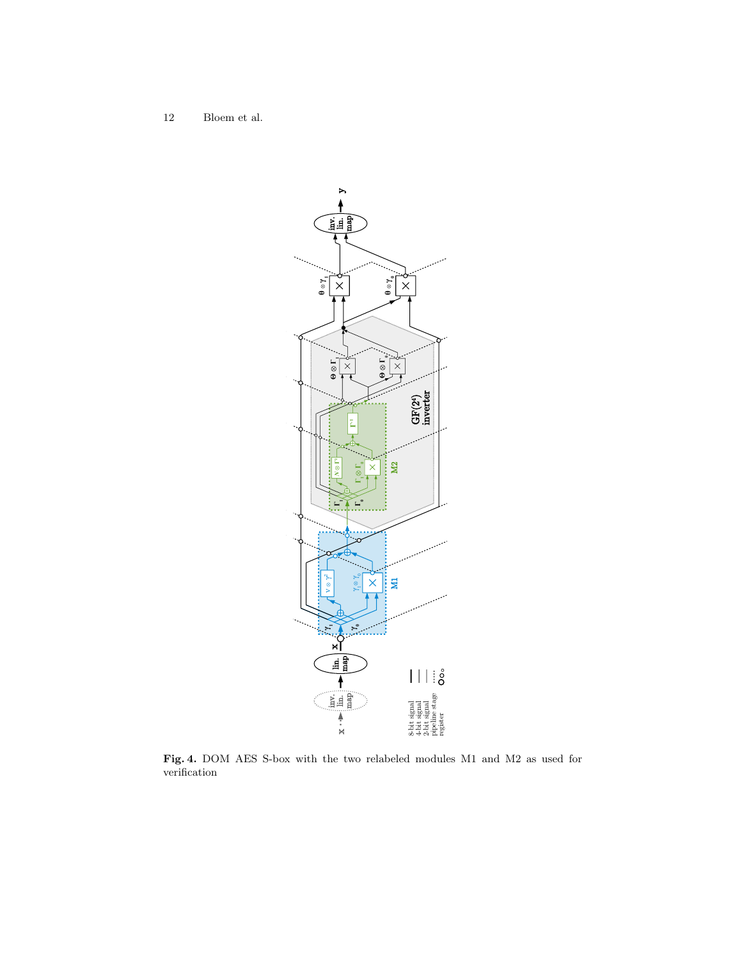12 Bloem et al.



Fig. 4. DOM AES S-box with the two relabeled modules M1 and M2 as used for verification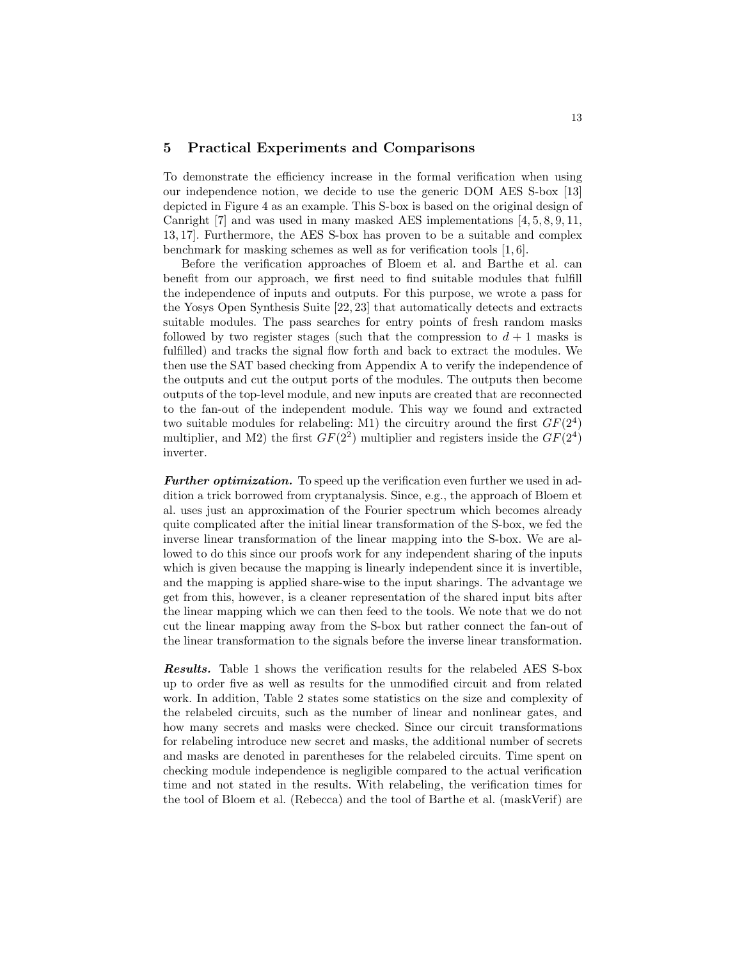### 5 Practical Experiments and Comparisons

To demonstrate the efficiency increase in the formal verification when using our independence notion, we decide to use the generic DOM AES S-box [13] depicted in Figure 4 as an example. This S-box is based on the original design of Canright [7] and was used in many masked AES implementations [4, 5, 8, 9, 11, 13, 17]. Furthermore, the AES S-box has proven to be a suitable and complex benchmark for masking schemes as well as for verification tools [1, 6].

Before the verification approaches of Bloem et al. and Barthe et al. can benefit from our approach, we first need to find suitable modules that fulfill the independence of inputs and outputs. For this purpose, we wrote a pass for the Yosys Open Synthesis Suite [22, 23] that automatically detects and extracts suitable modules. The pass searches for entry points of fresh random masks followed by two register stages (such that the compression to  $d+1$  masks is fulfilled) and tracks the signal flow forth and back to extract the modules. We then use the SAT based checking from Appendix A to verify the independence of the outputs and cut the output ports of the modules. The outputs then become outputs of the top-level module, and new inputs are created that are reconnected to the fan-out of the independent module. This way we found and extracted two suitable modules for relabeling: M1) the circuitry around the first  $GF(2^4)$ multiplier, and M2) the first  $GF(2^2)$  multiplier and registers inside the  $GF(2^4)$ inverter.

**Further optimization.** To speed up the verification even further we used in addition a trick borrowed from cryptanalysis. Since, e.g., the approach of Bloem et al. uses just an approximation of the Fourier spectrum which becomes already quite complicated after the initial linear transformation of the S-box, we fed the inverse linear transformation of the linear mapping into the S-box. We are allowed to do this since our proofs work for any independent sharing of the inputs which is given because the mapping is linearly independent since it is invertible, and the mapping is applied share-wise to the input sharings. The advantage we get from this, however, is a cleaner representation of the shared input bits after the linear mapping which we can then feed to the tools. We note that we do not cut the linear mapping away from the S-box but rather connect the fan-out of the linear transformation to the signals before the inverse linear transformation.

Results. Table 1 shows the verification results for the relabeled AES S-box up to order five as well as results for the unmodified circuit and from related work. In addition, Table 2 states some statistics on the size and complexity of the relabeled circuits, such as the number of linear and nonlinear gates, and how many secrets and masks were checked. Since our circuit transformations for relabeling introduce new secret and masks, the additional number of secrets and masks are denoted in parentheses for the relabeled circuits. Time spent on checking module independence is negligible compared to the actual verification time and not stated in the results. With relabeling, the verification times for the tool of Bloem et al. (Rebecca) and the tool of Barthe et al. (maskVerif) are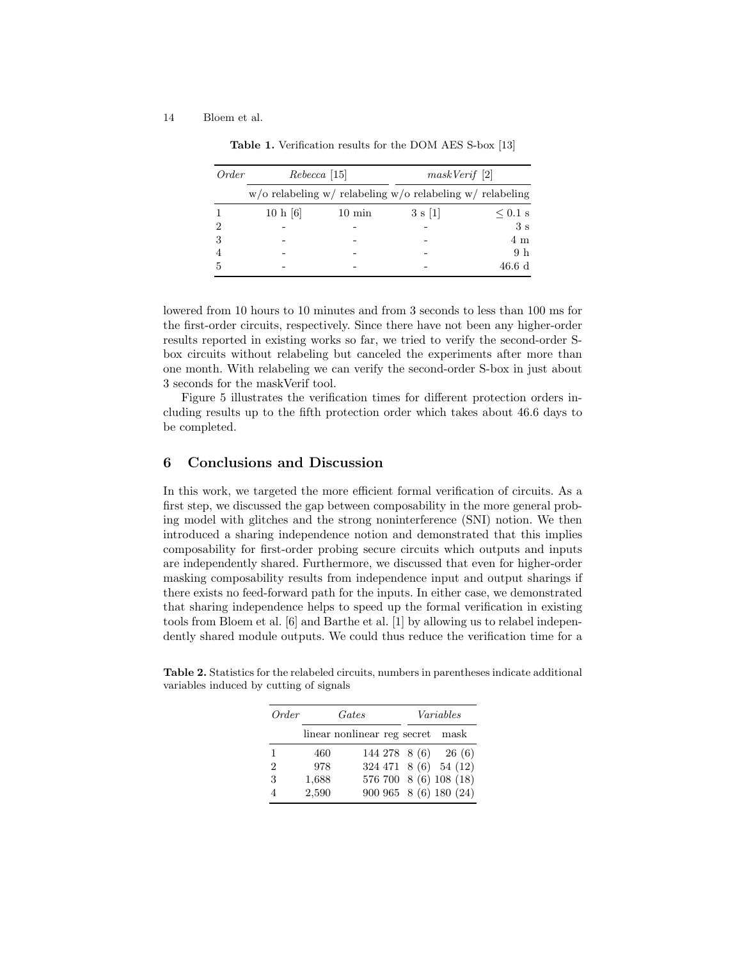| Order | $Rebecca$ [15] |                  | maskVerif [2]                                                |                |  |
|-------|----------------|------------------|--------------------------------------------------------------|----------------|--|
|       |                |                  | $w$ /o relabeling w/ relabeling w/o relabeling w/ relabeling |                |  |
|       | 10 h [6]       | $10 \text{ min}$ | 3 s  1                                                       | $\leq 0.1$ s   |  |
| 2     |                |                  |                                                              | 3s             |  |
| 3     |                |                  |                                                              | 4 m            |  |
|       |                |                  |                                                              | 9 <sub>h</sub> |  |
|       |                |                  |                                                              | 46.6 d         |  |

Table 1. Verification results for the DOM AES S-box [13]

lowered from 10 hours to 10 minutes and from 3 seconds to less than 100 ms for the first-order circuits, respectively. Since there have not been any higher-order results reported in existing works so far, we tried to verify the second-order Sbox circuits without relabeling but canceled the experiments after more than one month. With relabeling we can verify the second-order S-box in just about 3 seconds for the maskVerif tool.

Figure 5 illustrates the verification times for different protection orders including results up to the fifth protection order which takes about 46.6 days to be completed.

# 6 Conclusions and Discussion

In this work, we targeted the more efficient formal verification of circuits. As a first step, we discussed the gap between composability in the more general probing model with glitches and the strong noninterference (SNI) notion. We then introduced a sharing independence notion and demonstrated that this implies composability for first-order probing secure circuits which outputs and inputs are independently shared. Furthermore, we discussed that even for higher-order masking composability results from independence input and output sharings if there exists no feed-forward path for the inputs. In either case, we demonstrated that sharing independence helps to speed up the formal verification in existing tools from Bloem et al. [6] and Barthe et al. [1] by allowing us to relabel independently shared module outputs. We could thus reduce the verification time for a

Table 2. Statistics for the relabeled circuits, numbers in parentheses indicate additional variables induced by cutting of signals

| Order          | Gates |                                  |  | Variables |                             |  |
|----------------|-------|----------------------------------|--|-----------|-----------------------------|--|
|                |       | linear nonlinear reg secret mask |  |           |                             |  |
| 1              | 460   |                                  |  |           | $144\ 278\ 8\ (6)\ 26\ (6)$ |  |
| $\overline{2}$ | 978   |                                  |  |           | 324 471 8 (6) 54 (12)       |  |
| 3              | 1,688 |                                  |  |           | 576 700 8 (6) 108 (18)      |  |
| 4              | 2,590 |                                  |  |           | 900 965 8 (6) 180 (24)      |  |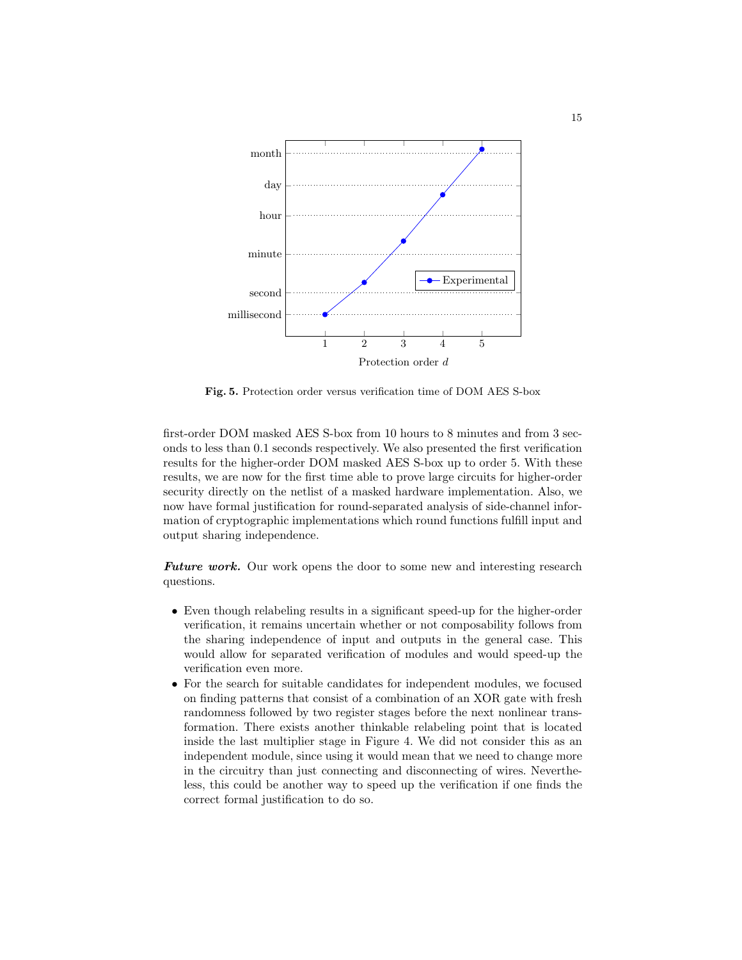

Fig. 5. Protection order versus verification time of DOM AES S-box

first-order DOM masked AES S-box from 10 hours to 8 minutes and from 3 seconds to less than 0.1 seconds respectively. We also presented the first verification results for the higher-order DOM masked AES S-box up to order 5. With these results, we are now for the first time able to prove large circuits for higher-order security directly on the netlist of a masked hardware implementation. Also, we now have formal justification for round-separated analysis of side-channel information of cryptographic implementations which round functions fulfill input and output sharing independence.

Future work. Our work opens the door to some new and interesting research questions.

- Even though relabeling results in a significant speed-up for the higher-order verification, it remains uncertain whether or not composability follows from the sharing independence of input and outputs in the general case. This would allow for separated verification of modules and would speed-up the verification even more.
- For the search for suitable candidates for independent modules, we focused on finding patterns that consist of a combination of an XOR gate with fresh randomness followed by two register stages before the next nonlinear transformation. There exists another thinkable relabeling point that is located inside the last multiplier stage in Figure 4. We did not consider this as an independent module, since using it would mean that we need to change more in the circuitry than just connecting and disconnecting of wires. Nevertheless, this could be another way to speed up the verification if one finds the correct formal justification to do so.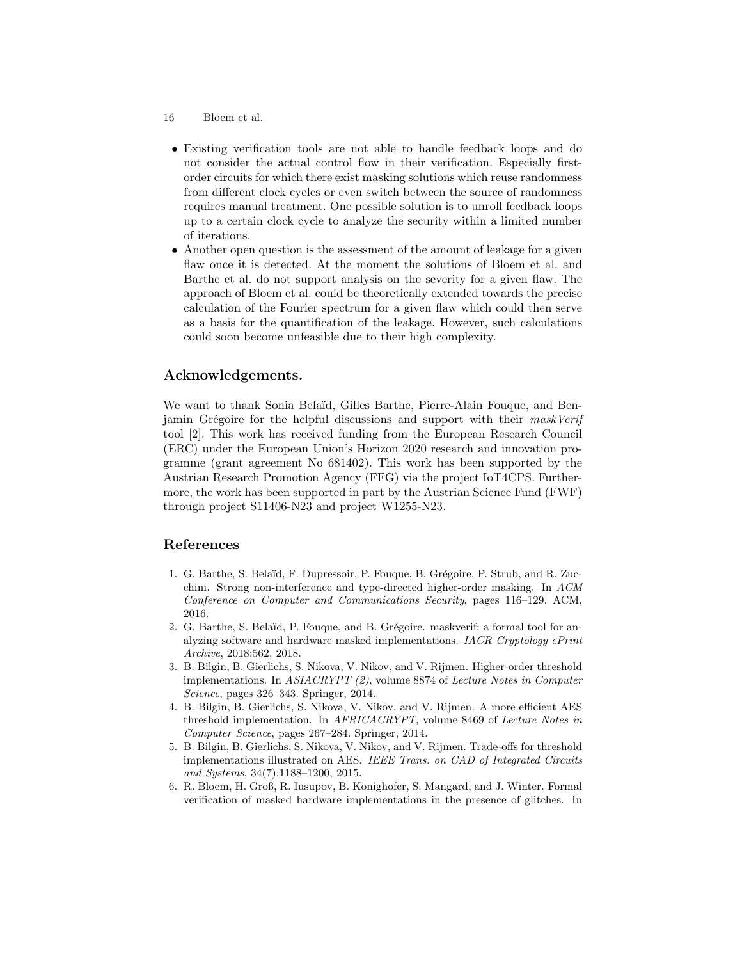- 16 Bloem et al.
	- Existing verification tools are not able to handle feedback loops and do not consider the actual control flow in their verification. Especially firstorder circuits for which there exist masking solutions which reuse randomness from different clock cycles or even switch between the source of randomness requires manual treatment. One possible solution is to unroll feedback loops up to a certain clock cycle to analyze the security within a limited number of iterations.
	- Another open question is the assessment of the amount of leakage for a given flaw once it is detected. At the moment the solutions of Bloem et al. and Barthe et al. do not support analysis on the severity for a given flaw. The approach of Bloem et al. could be theoretically extended towards the precise calculation of the Fourier spectrum for a given flaw which could then serve as a basis for the quantification of the leakage. However, such calculations could soon become unfeasible due to their high complexity.

# Acknowledgements.

We want to thank Sonia Belaïd, Gilles Barthe, Pierre-Alain Fouque, and Benjamin Grégoire for the helpful discussions and support with their maskVerif tool [2]. This work has received funding from the European Research Council (ERC) under the European Union's Horizon 2020 research and innovation programme (grant agreement No 681402). This work has been supported by the Austrian Research Promotion Agency (FFG) via the project IoT4CPS. Furthermore, the work has been supported in part by the Austrian Science Fund (FWF) through project S11406-N23 and project W1255-N23.

# References

- 1. G. Barthe, S. Belaïd, F. Dupressoir, P. Fouque, B. Grégoire, P. Strub, and R. Zucchini. Strong non-interference and type-directed higher-order masking. In ACM Conference on Computer and Communications Security, pages 116–129. ACM, 2016.
- 2. G. Barthe, S. Belaïd, P. Fouque, and B. Grégoire. maskverif: a formal tool for analyzing software and hardware masked implementations. IACR Cryptology ePrint Archive, 2018:562, 2018.
- 3. B. Bilgin, B. Gierlichs, S. Nikova, V. Nikov, and V. Rijmen. Higher-order threshold implementations. In  $ASIACRYPT (2)$ , volume 8874 of Lecture Notes in Computer Science, pages 326–343. Springer, 2014.
- 4. B. Bilgin, B. Gierlichs, S. Nikova, V. Nikov, and V. Rijmen. A more efficient AES threshold implementation. In AFRICACRYPT, volume 8469 of Lecture Notes in Computer Science, pages 267–284. Springer, 2014.
- 5. B. Bilgin, B. Gierlichs, S. Nikova, V. Nikov, and V. Rijmen. Trade-offs for threshold implementations illustrated on AES. IEEE Trans. on CAD of Integrated Circuits and Systems, 34(7):1188–1200, 2015.
- 6. R. Bloem, H. Groß, R. Iusupov, B. Könighofer, S. Mangard, and J. Winter. Formal verification of masked hardware implementations in the presence of glitches. In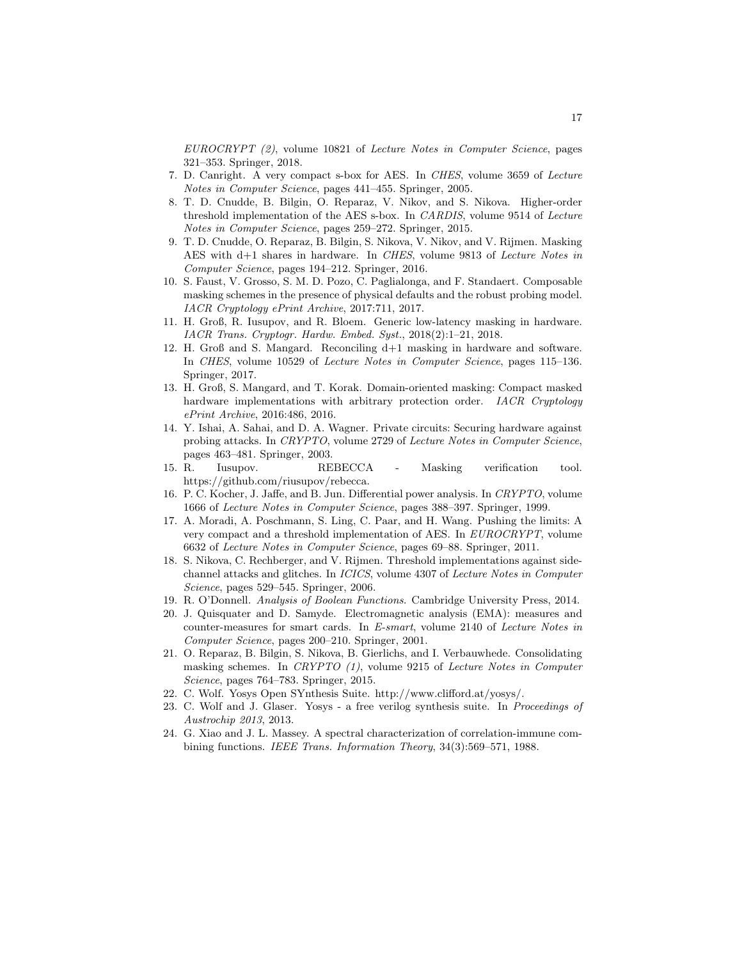EUROCRYPT (2), volume 10821 of Lecture Notes in Computer Science, pages 321–353. Springer, 2018.

- 7. D. Canright. A very compact s-box for AES. In CHES, volume 3659 of Lecture Notes in Computer Science, pages 441–455. Springer, 2005.
- 8. T. D. Cnudde, B. Bilgin, O. Reparaz, V. Nikov, and S. Nikova. Higher-order threshold implementation of the AES s-box. In CARDIS, volume 9514 of Lecture Notes in Computer Science, pages 259–272. Springer, 2015.
- 9. T. D. Cnudde, O. Reparaz, B. Bilgin, S. Nikova, V. Nikov, and V. Rijmen. Masking AES with d+1 shares in hardware. In CHES, volume 9813 of Lecture Notes in Computer Science, pages 194–212. Springer, 2016.
- 10. S. Faust, V. Grosso, S. M. D. Pozo, C. Paglialonga, and F. Standaert. Composable masking schemes in the presence of physical defaults and the robust probing model. IACR Cryptology ePrint Archive, 2017:711, 2017.
- 11. H. Groß, R. Iusupov, and R. Bloem. Generic low-latency masking in hardware. IACR Trans. Cryptogr. Hardw. Embed. Syst., 2018(2):1–21, 2018.
- 12. H. Groß and S. Mangard. Reconciling d+1 masking in hardware and software. In CHES, volume 10529 of Lecture Notes in Computer Science, pages 115–136. Springer, 2017.
- 13. H. Groß, S. Mangard, and T. Korak. Domain-oriented masking: Compact masked hardware implementations with arbitrary protection order. IACR Cryptology ePrint Archive, 2016:486, 2016.
- 14. Y. Ishai, A. Sahai, and D. A. Wagner. Private circuits: Securing hardware against probing attacks. In CRYPTO, volume 2729 of Lecture Notes in Computer Science, pages 463–481. Springer, 2003.
- 15. R. Iusupov. REBECCA Masking verification tool. https://github.com/riusupov/rebecca.
- 16. P. C. Kocher, J. Jaffe, and B. Jun. Differential power analysis. In CRYPTO, volume 1666 of Lecture Notes in Computer Science, pages 388–397. Springer, 1999.
- 17. A. Moradi, A. Poschmann, S. Ling, C. Paar, and H. Wang. Pushing the limits: A very compact and a threshold implementation of AES. In EUROCRYPT, volume 6632 of Lecture Notes in Computer Science, pages 69–88. Springer, 2011.
- 18. S. Nikova, C. Rechberger, and V. Rijmen. Threshold implementations against sidechannel attacks and glitches. In ICICS, volume 4307 of Lecture Notes in Computer Science, pages 529–545. Springer, 2006.
- 19. R. O'Donnell. Analysis of Boolean Functions. Cambridge University Press, 2014.
- 20. J. Quisquater and D. Samyde. Electromagnetic analysis (EMA): measures and counter-measures for smart cards. In E-smart, volume 2140 of Lecture Notes in Computer Science, pages 200–210. Springer, 2001.
- 21. O. Reparaz, B. Bilgin, S. Nikova, B. Gierlichs, and I. Verbauwhede. Consolidating masking schemes. In CRYPTO (1), volume 9215 of Lecture Notes in Computer Science, pages 764–783. Springer, 2015.
- 22. C. Wolf. Yosys Open SYnthesis Suite. http://www.clifford.at/yosys/.
- 23. C. Wolf and J. Glaser. Yosys a free verilog synthesis suite. In Proceedings of Austrochip 2013, 2013.
- 24. G. Xiao and J. L. Massey. A spectral characterization of correlation-immune combining functions. IEEE Trans. Information Theory, 34(3):569–571, 1988.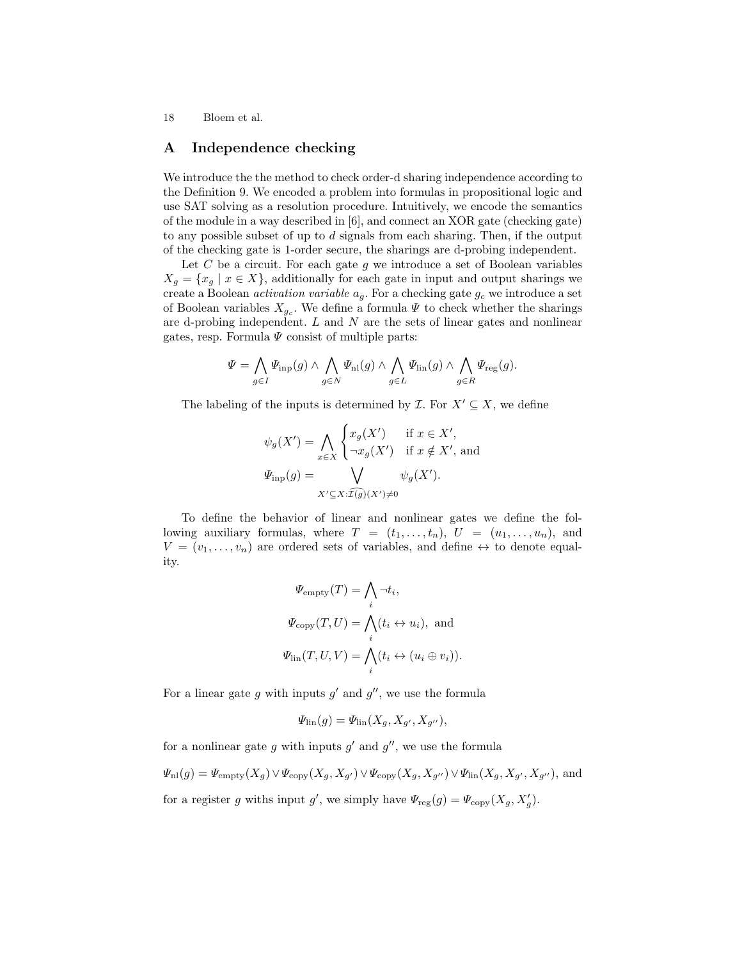# A Independence checking

We introduce the the method to check order-d sharing independence according to the Definition 9. We encoded a problem into formulas in propositional logic and use SAT solving as a resolution procedure. Intuitively, we encode the semantics of the module in a way described in [6], and connect an XOR gate (checking gate) to any possible subset of up to d signals from each sharing. Then, if the output of the checking gate is 1-order secure, the sharings are d-probing independent.

Let C be a circuit. For each gate g we introduce a set of Boolean variables  $X_q = \{x_q \mid x \in X\}$ , additionally for each gate in input and output sharings we create a Boolean *activation variable*  $a_g$ . For a checking gate  $g_c$  we introduce a set of Boolean variables  $X_{g_c}$ . We define a formula  $\Psi$  to check whether the sharings are d-probing independent.  $L$  and  $N$  are the sets of linear gates and nonlinear gates, resp. Formula  $\Psi$  consist of multiple parts:

$$
\Psi = \bigwedge_{g \in I} \Psi_{\mathrm{inp}}(g) \wedge \bigwedge_{g \in N} \Psi_{\mathrm{nl}}(g) \wedge \bigwedge_{g \in L} \Psi_{\mathrm{lin}}(g) \wedge \bigwedge_{g \in R} \Psi_{\mathrm{reg}}(g).
$$

The labeling of the inputs is determined by  $\mathcal{I}$ . For  $X' \subseteq X$ , we define

$$
\psi_g(X') = \bigwedge_{x \in X} \begin{cases} x_g(X') & \text{if } x \in X', \\ \neg x_g(X') & \text{if } x \notin X', \text{ and} \end{cases}
$$

$$
\Psi_{\text{inp}}(g) = \bigvee_{X' \subseteq X : \widehat{\mathcal{I}(g)}(X') \neq 0} \psi_g(X').
$$

To define the behavior of linear and nonlinear gates we define the following auxiliary formulas, where  $T = (t_1, \ldots, t_n)$ ,  $U = (u_1, \ldots, u_n)$ , and  $V = (v_1, \ldots, v_n)$  are ordered sets of variables, and define  $\leftrightarrow$  to denote equality.

$$
\Psi_{\text{empty}}(T) = \bigwedge_{i} \neg t_{i},
$$
  

$$
\Psi_{\text{copy}}(T, U) = \bigwedge_{i} (t_{i} \leftrightarrow u_{i}), \text{ and}
$$
  

$$
\Psi_{\text{lin}}(T, U, V) = \bigwedge_{i} (t_{i} \leftrightarrow (u_{i} \oplus v_{i})).
$$

For a linear gate g with inputs  $g'$  and  $g''$ , we use the formula

$$
\Psi_{\text{lin}}(g) = \Psi_{\text{lin}}(X_g, X_{g'}, X_{g''}),
$$

for a nonlinear gate g with inputs  $g'$  and  $g''$ , we use the formula

 $\Psi_{\rm nl}(g) = \Psi_{\rm empty}(X_g) \vee \Psi_{\rm copy}(X_g, X_{g'}) \vee \Psi_{\rm copy}(X_g, X_{g''}) \vee \Psi_{\rm lin}(X_g, X_{g'}, X_{g''}),$  and for a register g withs input g', we simply have  $\Psi_{reg}(g) = \Psi_{copy}(X_g, X_g')$ .